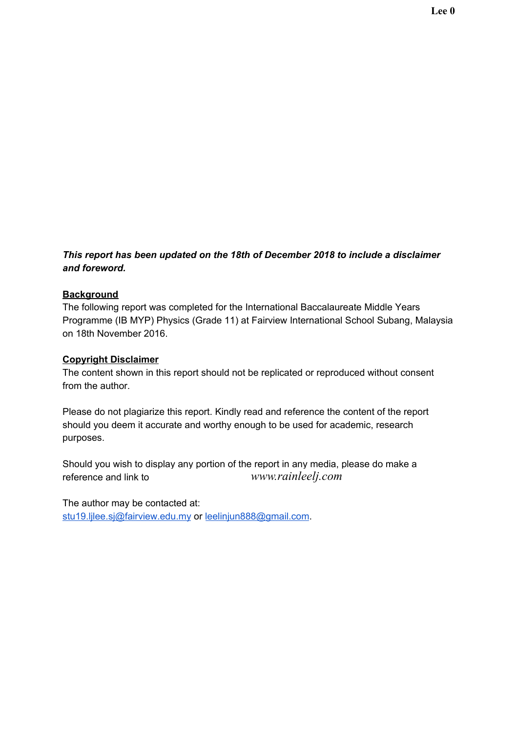## *This report has been updated on the 18th of December 2018 to include a disclaimer and foreword.*

## **Background**

The following report was completed for the International Baccalaureate Middle Years Programme (IB MYP) Physics (Grade 11) at Fairview International School Subang, Malaysia on 18th November 2016.

## **Copyright Disclaimer**

The content shown in this report should not be replicated or reproduced without consent from the author.

Please do not plagiarize this report. Kindly read and reference the content of the report should you deem it accurate and worthy enough to be used for academic, research purposes.

Should you wish to display any portion of the report in any media, please do make a reference and link to the author's *www.rainleelj.com* 

The author may be contacted at: [stu19.ljlee.sj@fairview.edu.my](mailto:stu19.ljlee.sj@fairview.edu.my) or [leelinjun888@gmail.com](mailto:leelinjun888@gmail.com).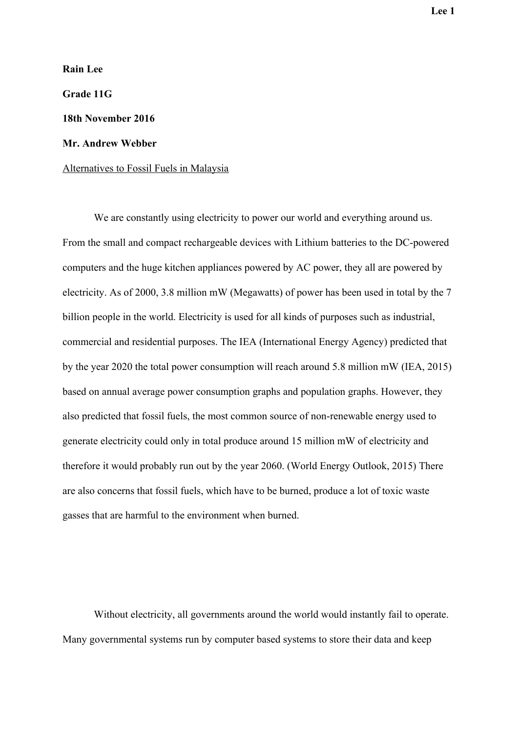**Rain Lee Grade 11G 18th November 2016 Mr. Andrew Webber** Alternatives to Fossil Fuels in Malaysia

We are constantly using electricity to power our world and everything around us. From the small and compact rechargeable devices with Lithium batteries to the DC-powered computers and the huge kitchen appliances powered by AC power, they all are powered by electricity. As of 2000, 3.8 million mW (Megawatts) of power has been used in total by the 7 billion people in the world. Electricity is used for all kinds of purposes such as industrial, commercial and residential purposes. The IEA (International Energy Agency) predicted that by the year 2020 the total power consumption will reach around 5.8 million mW (IEA, 2015) based on annual average power consumption graphs and population graphs. However, they also predicted that fossil fuels, the most common source of non-renewable energy used to generate electricity could only in total produce around 15 million mW of electricity and therefore it would probably run out by the year 2060. (World Energy Outlook, 2015) There are also concerns that fossil fuels, which have to be burned, produce a lot of toxic waste gasses that are harmful to the environment when burned.

Without electricity, all governments around the world would instantly fail to operate. Many governmental systems run by computer based systems to store their data and keep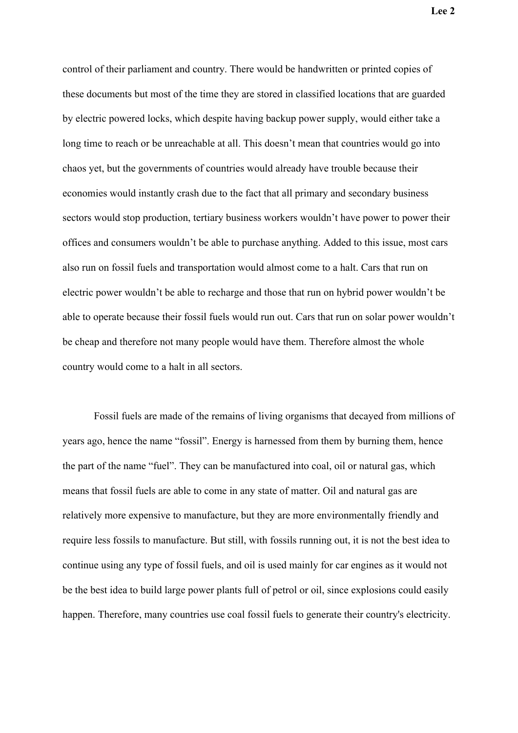control of their parliament and country. There would be handwritten or printed copies of these documents but most of the time they are stored in classified locations that are guarded by electric powered locks, which despite having backup power supply, would either take a long time to reach or be unreachable at all. This doesn't mean that countries would go into chaos yet, but the governments of countries would already have trouble because their economies would instantly crash due to the fact that all primary and secondary business sectors would stop production, tertiary business workers wouldn't have power to power their offices and consumers wouldn't be able to purchase anything. Added to this issue, most cars also run on fossil fuels and transportation would almost come to a halt. Cars that run on electric power wouldn't be able to recharge and those that run on hybrid power wouldn't be able to operate because their fossil fuels would run out. Cars that run on solar power wouldn't be cheap and therefore not many people would have them. Therefore almost the whole country would come to a halt in all sectors.

Fossil fuels are made of the remains of living organisms that decayed from millions of years ago, hence the name "fossil". Energy is harnessed from them by burning them, hence the part of the name "fuel". They can be manufactured into coal, oil or natural gas, which means that fossil fuels are able to come in any state of matter. Oil and natural gas are relatively more expensive to manufacture, but they are more environmentally friendly and require less fossils to manufacture. But still, with fossils running out, it is not the best idea to continue using any type of fossil fuels, and oil is used mainly for car engines as it would not be the best idea to build large power plants full of petrol or oil, since explosions could easily happen. Therefore, many countries use coal fossil fuels to generate their country's electricity.

**Lee 2**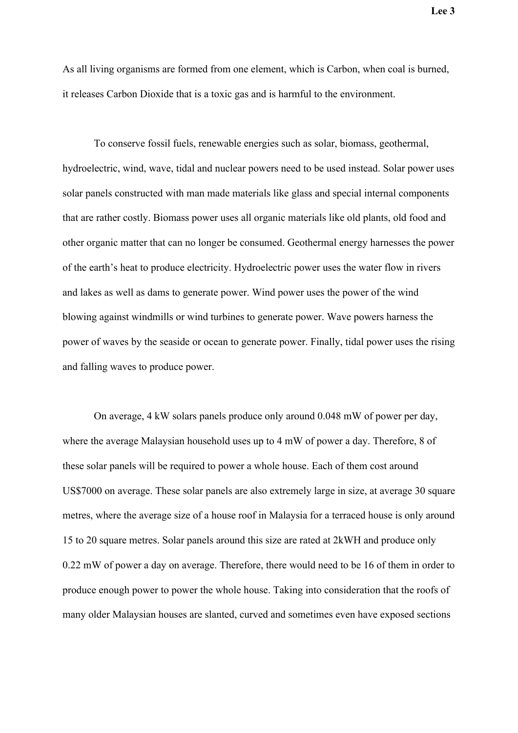As all living organisms are formed from one element, which is Carbon, when coal is burned, it releases Carbon Dioxide that is a toxic gas and is harmful to the environment.

To conserve fossil fuels, renewable energies such as solar, biomass, geothermal, hydroelectric, wind, wave, tidal and nuclear powers need to be used instead. Solar power uses solar panels constructed with man made materials like glass and special internal components that are rather costly. Biomass power uses all organic materials like old plants, old food and other organic matter that can no longer be consumed. Geothermal energy harnesses the power of the earth's heat to produce electricity. Hydroelectric power uses the water flow in rivers and lakes as well as dams to generate power. Wind power uses the power of the wind blowing against windmills or wind turbines to generate power. Wave powers harness the power of waves by the seaside or ocean to generate power. Finally, tidal power uses the rising and falling waves to produce power.

On average, 4 kW solars panels produce only around 0.048 mW of power per day, where the average Malaysian household uses up to 4 mW of power a day. Therefore, 8 of these solar panels will be required to power a whole house. Each of them cost around US\$7000 on average. These solar panels are also extremely large in size, at average 30 square metres, where the average size of a house roof in Malaysia for a terraced house is only around 15 to 20 square metres. Solar panels around this size are rated at 2kWH and produce only 0.22 mW of power a day on average. Therefore, there would need to be 16 of them in order to produce enough power to power the whole house. Taking into consideration that the roofs of many older Malaysian houses are slanted, curved and sometimes even have exposed sections

**Lee 3**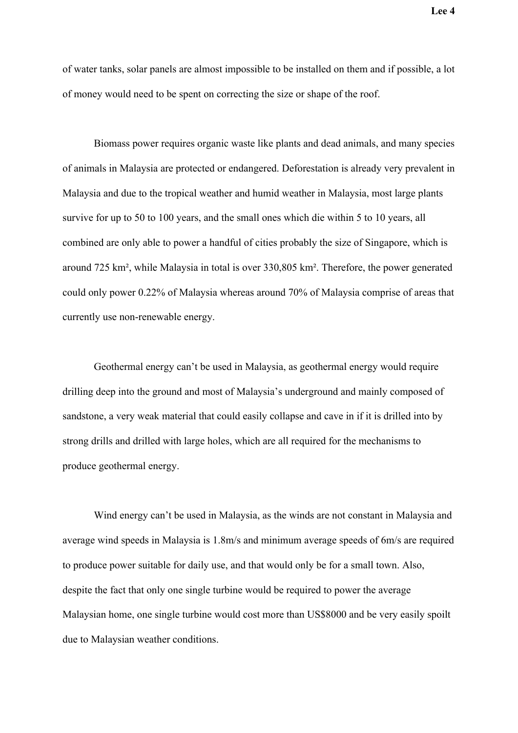of water tanks, solar panels are almost impossible to be installed on them and if possible, a lot of money would need to be spent on correcting the size or shape of the roof.

Biomass power requires organic waste like plants and dead animals, and many species of animals in Malaysia are protected or endangered. Deforestation is already very prevalent in Malaysia and due to the tropical weather and humid weather in Malaysia, most large plants survive for up to 50 to 100 years, and the small ones which die within 5 to 10 years, all combined are only able to power a handful of cities probably the size of Singapore, which is around 725 km², while Malaysia in total is over 330,805 km². Therefore, the power generated could only power 0.22% of Malaysia whereas around 70% of Malaysia comprise of areas that currently use non-renewable energy.

Geothermal energy can't be used in Malaysia, as geothermal energy would require drilling deep into the ground and most of Malaysia's underground and mainly composed of sandstone, a very weak material that could easily collapse and cave in if it is drilled into by strong drills and drilled with large holes, which are all required for the mechanisms to produce geothermal energy.

Wind energy can't be used in Malaysia, as the winds are not constant in Malaysia and average wind speeds in Malaysia is 1.8m/s and minimum average speeds of 6m/s are required to produce power suitable for daily use, and that would only be for a small town. Also, despite the fact that only one single turbine would be required to power the average Malaysian home, one single turbine would cost more than US\$8000 and be very easily spoilt due to Malaysian weather conditions.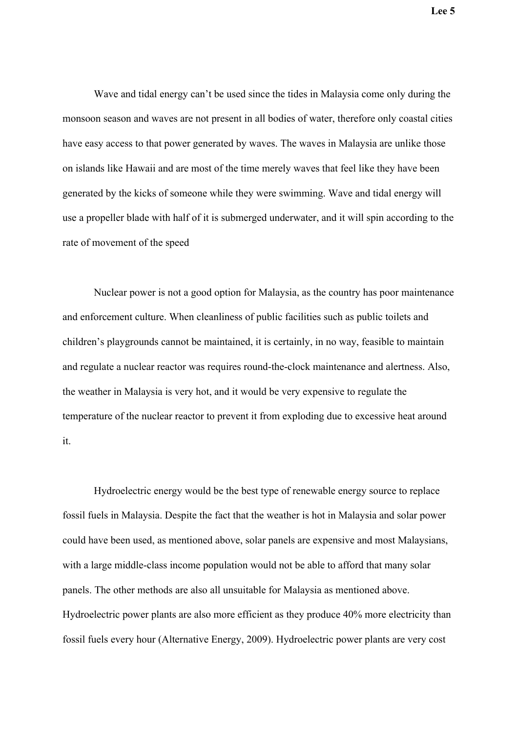Wave and tidal energy can't be used since the tides in Malaysia come only during the monsoon season and waves are not present in all bodies of water, therefore only coastal cities have easy access to that power generated by waves. The waves in Malaysia are unlike those on islands like Hawaii and are most of the time merely waves that feel like they have been generated by the kicks of someone while they were swimming. Wave and tidal energy will use a propeller blade with half of it is submerged underwater, and it will spin according to the rate of movement of the speed

Nuclear power is not a good option for Malaysia, as the country has poor maintenance and enforcement culture. When cleanliness of public facilities such as public toilets and children's playgrounds cannot be maintained, it is certainly, in no way, feasible to maintain and regulate a nuclear reactor was requires round-the-clock maintenance and alertness. Also, the weather in Malaysia is very hot, and it would be very expensive to regulate the temperature of the nuclear reactor to prevent it from exploding due to excessive heat around it.

Hydroelectric energy would be the best type of renewable energy source to replace fossil fuels in Malaysia. Despite the fact that the weather is hot in Malaysia and solar power could have been used, as mentioned above, solar panels are expensive and most Malaysians, with a large middle-class income population would not be able to afford that many solar panels. The other methods are also all unsuitable for Malaysia as mentioned above. Hydroelectric power plants are also more efficient as they produce 40% more electricity than fossil fuels every hour (Alternative Energy, 2009). Hydroelectric power plants are very cost

**Lee 5**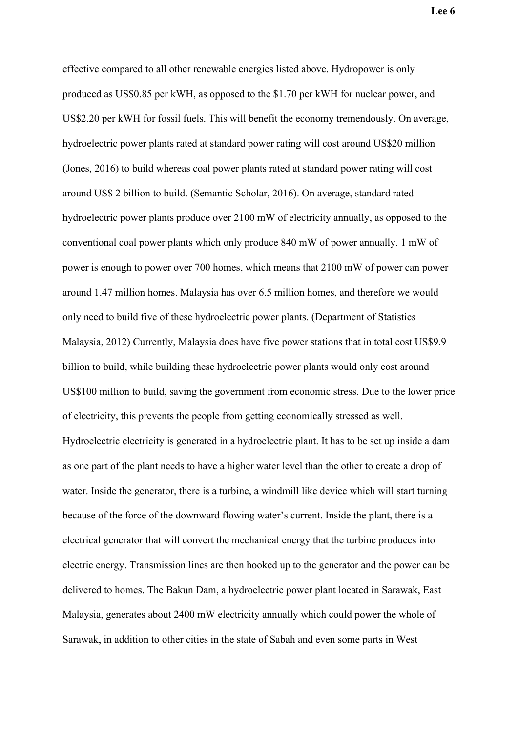**Lee 6**

effective compared to all other renewable energies listed above. Hydropower is only produced as US\$0.85 per kWH, as opposed to the \$1.70 per kWH for nuclear power, and US\$2.20 per kWH for fossil fuels. This will benefit the economy tremendously. On average, hydroelectric power plants rated at standard power rating will cost around US\$20 million (Jones, 2016) to build whereas coal power plants rated at standard power rating will cost around US\$ 2 billion to build. (Semantic Scholar, 2016). On average, standard rated hydroelectric power plants produce over 2100 mW of electricity annually, as opposed to the conventional coal power plants which only produce 840 mW of power annually. 1 mW of power is enough to power over 700 homes, which means that 2100 mW of power can power around 1.47 million homes. Malaysia has over 6.5 million homes, and therefore we would only need to build five of these hydroelectric power plants. (Department of Statistics Malaysia, 2012) Currently, Malaysia does have five power stations that in total cost US\$9.9 billion to build, while building these hydroelectric power plants would only cost around US\$100 million to build, saving the government from economic stress. Due to the lower price of electricity, this prevents the people from getting economically stressed as well. Hydroelectric electricity is generated in a hydroelectric plant. It has to be set up inside a dam as one part of the plant needs to have a higher water level than the other to create a drop of water. Inside the generator, there is a turbine, a windmill like device which will start turning because of the force of the downward flowing water's current. Inside the plant, there is a electrical generator that will convert the mechanical energy that the turbine produces into electric energy. Transmission lines are then hooked up to the generator and the power can be delivered to homes. The Bakun Dam, a hydroelectric power plant located in Sarawak, East Malaysia, generates about 2400 mW electricity annually which could power the whole of Sarawak, in addition to other cities in the state of Sabah and even some parts in West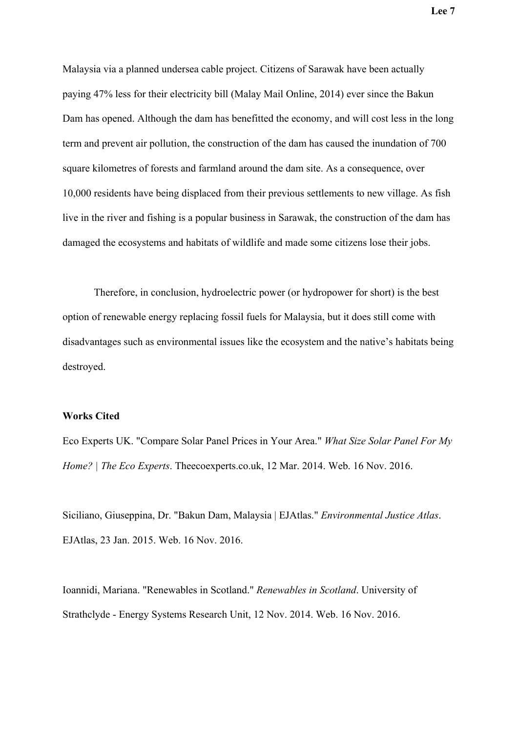Malaysia via a planned undersea cable project. Citizens of Sarawak have been actually paying 47% less for their electricity bill (Malay Mail Online, 2014) ever since the Bakun Dam has opened. Although the dam has benefitted the economy, and will cost less in the long term and prevent air pollution, the construction of the dam has caused the inundation of 700 square kilometres of forests and farmland around the dam site. As a consequence, over 10,000 residents have being displaced from their previous settlements to new village. As fish live in the river and fishing is a popular business in Sarawak, the construction of the dam has damaged the ecosystems and habitats of wildlife and made some citizens lose their jobs.

Therefore, in conclusion, hydroelectric power (or hydropower for short) is the best option of renewable energy replacing fossil fuels for Malaysia, but it does still come with disadvantages such as environmental issues like the ecosystem and the native's habitats being destroyed.

## **Works Cited**

Eco Experts UK. "Compare Solar Panel Prices in Your Area." *What Size Solar Panel For My Home? | The Eco Experts*. Theecoexperts.co.uk, 12 Mar. 2014. Web. 16 Nov. 2016.

Siciliano, Giuseppina, Dr. "Bakun Dam, Malaysia | EJAtlas." *Environmental Justice Atlas*. EJAtlas, 23 Jan. 2015. Web. 16 Nov. 2016.

Ioannidi, Mariana. "Renewables in Scotland." *Renewables in Scotland*. University of Strathclyde - Energy Systems Research Unit, 12 Nov. 2014. Web. 16 Nov. 2016.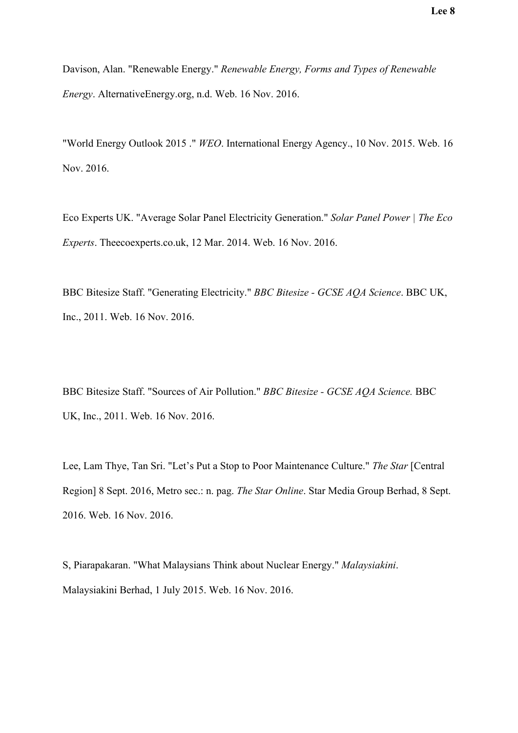Davison, Alan. "Renewable Energy." *Renewable Energy, Forms and Types of Renewable Energy*. AlternativeEnergy.org, n.d. Web. 16 Nov. 2016.

"World Energy Outlook 2015 ." *WEO*. International Energy Agency., 10 Nov. 2015. Web. 16 Nov. 2016.

Eco Experts UK. "Average Solar Panel Electricity Generation." *Solar Panel Power | The Eco Experts*. Theecoexperts.co.uk, 12 Mar. 2014. Web. 16 Nov. 2016.

BBC Bitesize Staff. "Generating Electricity." *BBC Bitesize - GCSE AQA Science*. BBC UK, Inc., 2011. Web. 16 Nov. 2016.

BBC Bitesize Staff. "Sources of Air Pollution." *BBC Bitesize - GCSE AQA Science.* BBC UK, Inc., 2011. Web. 16 Nov. 2016.

Lee, Lam Thye, Tan Sri. "Let's Put a Stop to Poor Maintenance Culture." *The Star* [Central Region] 8 Sept. 2016, Metro sec.: n. pag. *The Star Online*. Star Media Group Berhad, 8 Sept. 2016. Web. 16 Nov. 2016.

S, Piarapakaran. "What Malaysians Think about Nuclear Energy." *Malaysiakini*. Malaysiakini Berhad, 1 July 2015. Web. 16 Nov. 2016.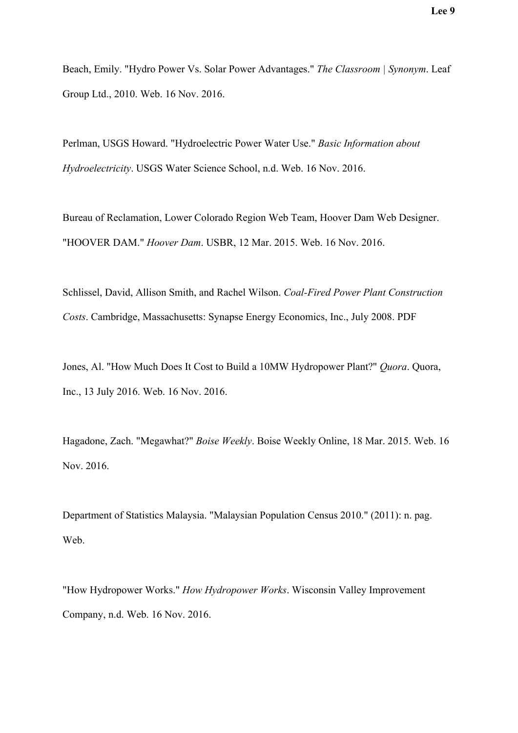Beach, Emily. "Hydro Power Vs. Solar Power Advantages." *The Classroom | Synonym*. Leaf Group Ltd., 2010. Web. 16 Nov. 2016.

Perlman, USGS Howard. "Hydroelectric Power Water Use." *Basic Information about Hydroelectricity*. USGS Water Science School, n.d. Web. 16 Nov. 2016.

Bureau of Reclamation, Lower Colorado Region Web Team, Hoover Dam Web Designer. "HOOVER DAM." *Hoover Dam*. USBR, 12 Mar. 2015. Web. 16 Nov. 2016.

Schlissel, David, Allison Smith, and Rachel Wilson. *Coal-Fired Power Plant Construction Costs*. Cambridge, Massachusetts: Synapse Energy Economics, Inc., July 2008. PDF

Jones, Al. "How Much Does It Cost to Build a 10MW Hydropower Plant?" *Quora*. Quora, Inc., 13 July 2016. Web. 16 Nov. 2016.

Hagadone, Zach. "Megawhat?" *Boise Weekly*. Boise Weekly Online, 18 Mar. 2015. Web. 16 Nov. 2016.

Department of Statistics Malaysia. "Malaysian Population Census 2010." (2011): n. pag. Web.

"How Hydropower Works." *How Hydropower Works*. Wisconsin Valley Improvement Company, n.d. Web. 16 Nov. 2016.